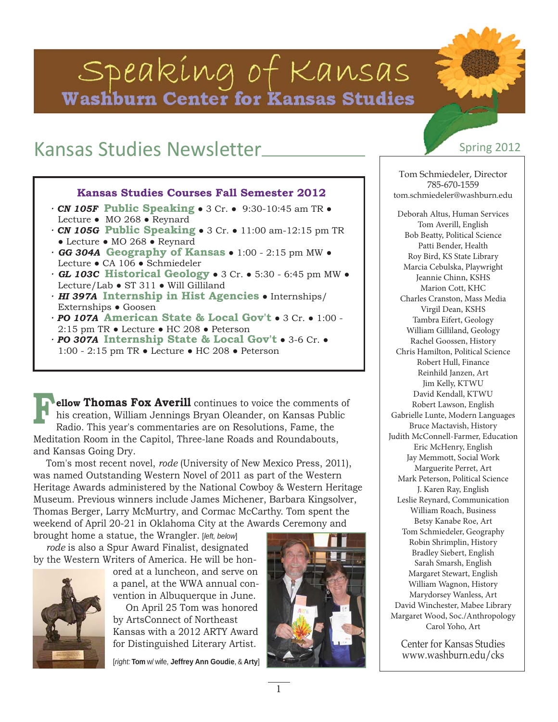# Speaking of Kansas Washburn Center for Kansas Studies

# Kansas Studies Newsletter Spring 2012

#### **Kansas Studies Courses Fall Semester 2012**

- *· CN 105F* **Public Speaking** 3 Cr. 9:30-10:45 am TR Lecture ● MO 268 ● Reynard
- *· CN 105G* **Public Speaking** 3 Cr. 11:00 am-12:15 pm TR ● Lecture ● MO 268 ● Reynard
- *· GG 304A* **Geography of Kansas** 1:00 2:15 pm MW Lecture ● CA 106 ● Schmiedeler
- *· GL 103C* **Historical Geology** 3 Cr. 5:30 6:45 pm MW Lecture/Lab ● ST 311 ● Will Gilliland
- *· HI 397A* **Internship in Hist Agencies** Internships/ Externships ● Goosen
- *· PO 107A* **American State & Local Gov't** 3 Cr. 1:00 2:15 pm TR ● Lecture ● HC 208 ● Peterson
- *· PO 307A* **Internship State & Local Gov't** 3-6 Cr. 1:00 - 2:15 pm TR ● Lecture ● HC 208 ● Peterson

**ellow Thomas Fox Averill** continues to voice the comments of his creation, William Jennings Bryan Oleander, on Kansas Public Radio. This year's commentaries are on Resolutions, Fame, the Meditation Room in the Capitol, Three-lane Roads and Roundabouts, and Kansas Going Dry. **F**

Tom's most recent novel, *rode* (University of New Mexico Press, 2011), was named Outstanding Western Novel of 2011 as part of the Western Heritage Awards administered by the National Cowboy & Western Heritage Museum. Previous winners include James Michener, Barbara Kingsolver, Thomas Berger, Larry McMurtry, and Cormac McCarthy. Tom spent the weekend of April 20-21 in Oklahoma City at the Awards Ceremony and

brought home a statue, the Wrangler. [*left, below*] *rode* is also a Spur Award Finalist, designated by the Western Writers of America. He will be hon-



ored at a luncheon, and serve on a panel, at the WWA annual convention in Albuquerque in June.

On April 25 Tom was honored by ArtsConnect of Northeast Kansas with a 2012 ARTY Award for Distinguished Literary Artist.

[*right:* **Tom** w/ wife, **Jeffrey Ann Goudie**, & **Arty**]

Tom Schmiedeler, Director 785-670-1559 tom.schmiedeler@washburn.edu

Deborah Altus, Human Services Tom Averill, English Bob Beatty, Political Science Patti Bender, Health Roy Bird, KS State Library Marcia Cebulska, Playwright Jeannie Chinn, KSHS Marion Cott, KHC Charles Cranston, Mass Media Virgil Dean, KSHS Tambra Eifert, Geology William Gilliland, Geology Rachel Goossen, History Chris Hamilton, Political Science Robert Hull, Finance Reinhild Janzen, Art Jim Kelly, KTWU David Kendall, KTWU Robert Lawson, English Gabrielle Lunte, Modern Languages Bruce Mactavish, History Judith McConnell-Farmer, Education Eric McHenry, English Jay Memmott, Social Work Marguerite Perret, Art Mark Peterson, Political Science J. Karen Ray, English Leslie Reynard, Communication William Roach, Business Betsy Kanabe Roe, Art Tom Schmiedeler, Geography Robin Shrimplin, History Bradley Siebert, English Sarah Smarsh, English Margaret Stewart, English William Wagnon, History Marydorsey Wanless, Art David Winchester, Mabee Library Margaret Wood, Soc./Anthropology Carol Yoho, Art

Center for Kansas Studies www.washburn.edu/cks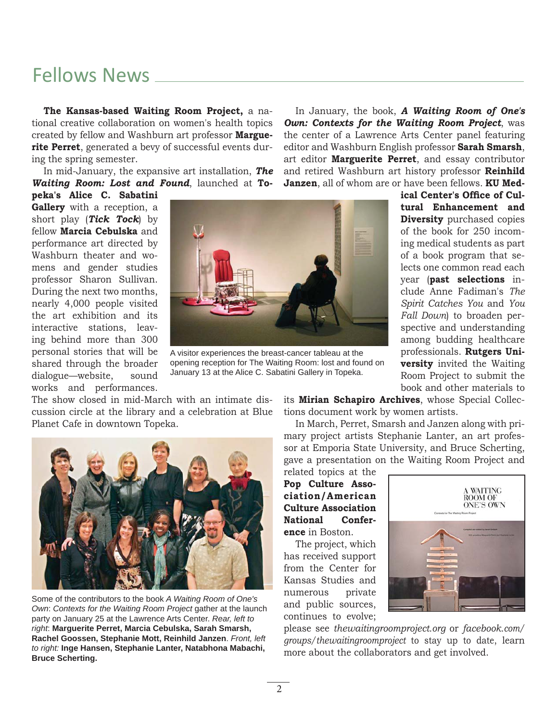## Fellows News

**The Kansas-based Waiting Room Project,** a national creative collaboration on women's health topics created by fellow and Washburn art professor **Marguerite Perret**, generated a bevy of successful events during the spring semester.

In mid-January, the expansive art installation, *The Waiting Room: Lost and Found*, launched at **To-**

**peka's Alice C. Sabatini Gallery** with a reception, a short play (*Tick Tock*) by fellow **Marcia Cebulska** and performance art directed by Washburn theater and womens and gender studies professor Sharon Sullivan. During the next two months, nearly 4,000 people visited the art exhibition and its interactive stations, leaving behind more than 300 personal stories that will be shared through the broader dialogue—website, sound works and performances.



A visitor experiences the breast-cancer tableau at the opening reception for The Waiting Room: lost and found on January 13 at the Alice C. Sabatini Gallery in Topeka.

In January, the book, *A Waiting Room of One's Own: Contexts for the Waiting Room Project*, was the center of a Lawrence Arts Center panel featuring editor and Washburn English professor **Sarah Smarsh**, art editor **Marguerite Perret**, and essay contributor and retired Washburn art history professor **Reinhild Janzen**, all of whom are or have been fellows. **KU Med-**

> ical Center's Office of Cul**tural Enhancement and Diversity** purchased copies of the book for 250 incoming medical students as part of a book program that selects one common read each year (**past selections** include Anne Fadiman's *The Spirit Catches You* and *You Fall Down*) to broaden perspective and understanding among budding healthcare professionals. **Rutgers University** invited the Waiting Room Project to submit the book and other materials to

The show closed in mid-March with an intimate discussion circle at the library and a celebration at Blue Planet Cafe in downtown Topeka.



Some of the contributors to the book *A Waiting Room of One's Own*: *Contexts for the Waiting Room Project* gather at the launch party on January 25 at the Lawrence Arts Center. *Rear, left to right*: **Marguerite Perret, Marcia Cebulska, Sarah Smarsh, Rachel Goossen, Stephanie Mott, Reinhild Janzen**. *Front, left to right:* **Inge Hansen, Stephanie Lanter, Natabhona Mabachi, Bruce Scherting.**

its **Mirian Schapiro Archives**, whose Special Collections document work by women artists.

In March, Perret, Smarsh and Janzen along with primary project artists Stephanie Lanter, an art professor at Emporia State University, and Bruce Scherting, gave a presentation on the Waiting Room Project and

related topics at the **Pop Culture Association/American Culture Association National Conference** in Boston.

The project, which has received support from the Center for Kansas Studies and numerous private and public sources, continues to evolve;



please see *thewaitingroomproject.org* or *facebook.com/ groups/thewaitingroomproject* to stay up to date, learn more about the collaborators and get involved.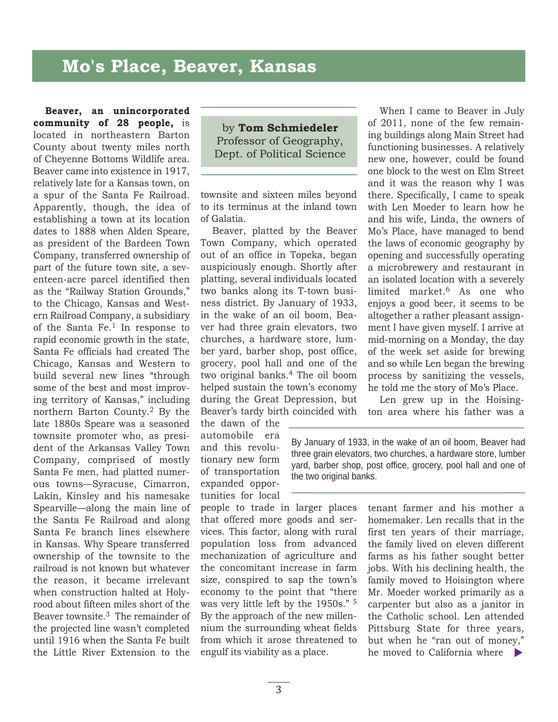### **Mo's Place, Beaver, Kansas**

**Beaver, an unincorporated community of 28 people,** is located in northeastern Barton County about twenty miles north of Cheyenne Bottoms Wildlife area. Beaver came into existence in 1917, relatively late for a Kansas town, on a spur of the Santa Fe Railroad. Apparently, though, the idea of establishing a town at its location dates to 1888 when Alden Speare, as president of the Bardeen Town Company, transferred ownership of part of the future town site, a seventeen-acre parcel identified then as the "Railway Station Grounds," to the Chicago, Kansas and Western Railroad Company, a subsidiary of the Santa Fe.1 In response to rapid economic growth in the state, Santa Fe officials had created The Chicago, Kansas and Western to build several new lines "through some of the best and most improving territory of Kansas," including northern Barton County.2 By the late 1880s Speare was a seasoned townsite promoter who, as president of the Arkansas Valley Town Company, comprised of mostly Santa Fe men, had platted numerous towns—Syracuse, Cimarron, Lakin, Kinsley and his namesake Spearville—along the main line of the Santa Fe Railroad and along Santa Fe branch lines elsewhere in Kansas. Why Speare transferred ownership of the townsite to the railroad is not known but whatever the reason, it became irrelevant when construction halted at Holyrood about fifteen miles short of the Beaver townsite.3 The remainder of the projected line wasn't completed until 1916 when the Santa Fe built the Little River Extension to the

by **Tom Schmiedeler** Professor of Geography, Dept. of Political Science

townsite and sixteen miles beyond to its terminus at the inland town of Galatia.

Beaver, platted by the Beaver Town Company, which operated out of an office in Topeka, began auspiciously enough. Shortly after platting, several individuals located two banks along its T-town business district. By January of 1933, in the wake of an oil boom, Beaver had three grain elevators, two churches, a hardware store, lumber yard, barber shop, post office, grocery, pool hall and one of the two original banks.4 The oil boom helped sustain the town's economy during the Great Depression, but Beaver's tardy birth coincided with

the dawn of the automobile era and this revolutionary new form of transportation expanded opportunities for local

people to trade in larger places that offered more goods and services. This factor, along with rural population loss from advanced mechanization of agriculture and the concomitant increase in farm size, conspired to sap the town's economy to the point that "there was very little left by the 1950s." 5 By the approach of the new millennium the surrounding wheat fields from which it arose threatened to engulf its viability as a place.

When I came to Beaver in July of 2011, none of the few remaining buildings along Main Street had functioning businesses. A relatively new one, however, could be found one block to the west on Elm Street and it was the reason why I was there. Specifically, I came to speak with Len Moeder to learn how he and his wife, Linda, the owners of Mo's Place, have managed to bend the laws of economic geography by opening and successfully operating a microbrewery and restaurant in an isolated location with a severely limited market.6 As one who enjoys a good beer, it seems to be altogether a rather pleasant assignment I have given myself. I arrive at mid-morning on a Monday, the day of the week set aside for brewing and so while Len began the brewing process by sanitizing the vessels, he told me the story of Mo's Place.

Len grew up in the Hoisington area where his father was a

By January of 1933, in the wake of an oil boom, Beaver had three grain elevators, two churches, a hardware store, lumber yard, barber shop, post office, grocery, pool hall and one of the two original banks.

> tenant farmer and his mother a homemaker. Len recalls that in the first ten years of their marriage, the family lived on eleven different farms as his father sought better jobs. With his declining health, the family moved to Hoisington where Mr. Moeder worked primarily as a carpenter but also as a janitor in the Catholic school. Len attended Pittsburg State for three years, but when he "ran out of money," he moved to California where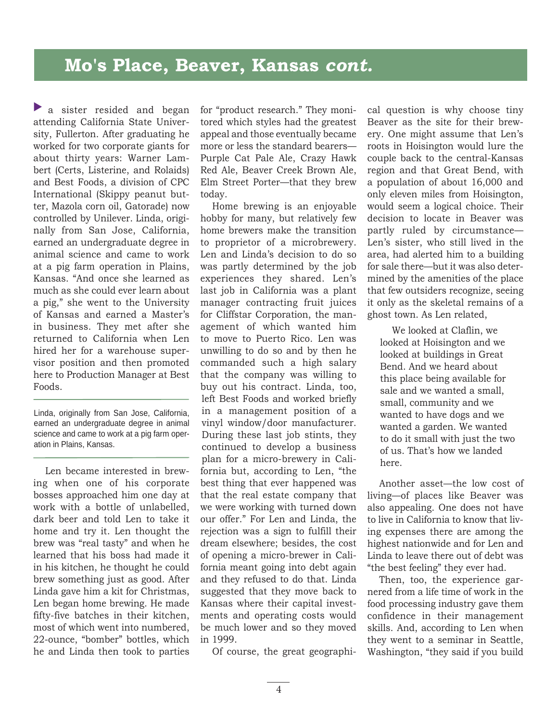a sister resided and began attending California State University, Fullerton. After graduating he worked for two corporate giants for about thirty years: Warner Lambert (Certs, Listerine, and Rolaids) and Best Foods, a division of CPC International (Skippy peanut butter, Mazola corn oil, Gatorade) now controlled by Unilever. Linda, originally from San Jose, California, earned an undergraduate degree in animal science and came to work at a pig farm operation in Plains, Kansas. "And once she learned as much as she could ever learn about a pig," she went to the University of Kansas and earned a Master's in business. They met after she returned to California when Len hired her for a warehouse supervisor position and then promoted here to Production Manager at Best Foods. **A** a sister resided and began for "product resear<br>
attending California State Univer- tored which syles stiry, Fullerton. After graduating he appeal and those<br>
stiry, Fullerton. After graduating he appeal and those worke

Linda, originally from San Jose, California, earned an undergraduate degree in animal science and came to work at a pig farm operation in Plains, Kansas.

Len became interested in brewing when one of his corporate bosses approached him one day at work with a bottle of unlabelled, dark beer and told Len to take it home and try it. Len thought the brew was "real tasty" and when he learned that his boss had made it in his kitchen, he thought he could brew something just as good. After Linda gave him a kit for Christmas, Len began home brewing. He made fifty-five batches in their kitchen, most of which went into numbered, 22-ounce, "bomber" bottles, which he and Linda then took to parties

for "product research." They monitored which styles had the greatest appeal and those eventually became more or less the standard bearers— Purple Cat Pale Ale, Crazy Hawk Red Ale, Beaver Creek Brown Ale, Elm Street Porter—that they brew today.

Home brewing is an enjoyable hobby for many, but relatively few home brewers make the transition to proprietor of a microbrewery. Len and Linda's decision to do so was partly determined by the job experiences they shared. Len's last job in California was a plant manager contracting fruit juices for Cliffstar Corporation, the management of which wanted him to move to Puerto Rico. Len was unwilling to do so and by then he commanded such a high salary that the company was willing to buy out his contract. Linda, too, left Best Foods and worked briefly in a management position of a vinyl window/door manufacturer. During these last job stints, they continued to develop a business plan for a micro-brewery in California but, according to Len, "the best thing that ever happened was that the real estate company that we were working with turned down our offer." For Len and Linda, the rejection was a sign to fulfill their dream elsewhere; besides, the cost of opening a micro-brewer in California meant going into debt again and they refused to do that. Linda suggested that they move back to Kansas where their capital investments and operating costs would be much lower and so they moved in 1999.

Of course, the great geographi-

cal question is why choose tiny Beaver as the site for their brewery. One might assume that Len's roots in Hoisington would lure the couple back to the central-Kansas region and that Great Bend, with a population of about 16,000 and only eleven miles from Hoisington, would seem a logical choice. Their decision to locate in Beaver was partly ruled by circumstance— Len's sister, who still lived in the area, had alerted him to a building for sale there—but it was also determined by the amenities of the place that few outsiders recognize, seeing it only as the skeletal remains of a ghost town. As Len related,

We looked at Claflin, we looked at Hoisington and we looked at buildings in Great Bend. And we heard about this place being available for sale and we wanted a small, small, community and we wanted to have dogs and we wanted a garden. We wanted to do it small with just the two of us. That's how we landed here.

Another asset—the low cost of living—of places like Beaver was also appealing. One does not have to live in California to know that living expenses there are among the highest nationwide and for Len and Linda to leave there out of debt was "the best feeling" they ever had.

Then, too, the experience garnered from a life time of work in the food processing industry gave them confidence in their management skills. And, according to Len when they went to a seminar in Seattle, Washington, "they said if you build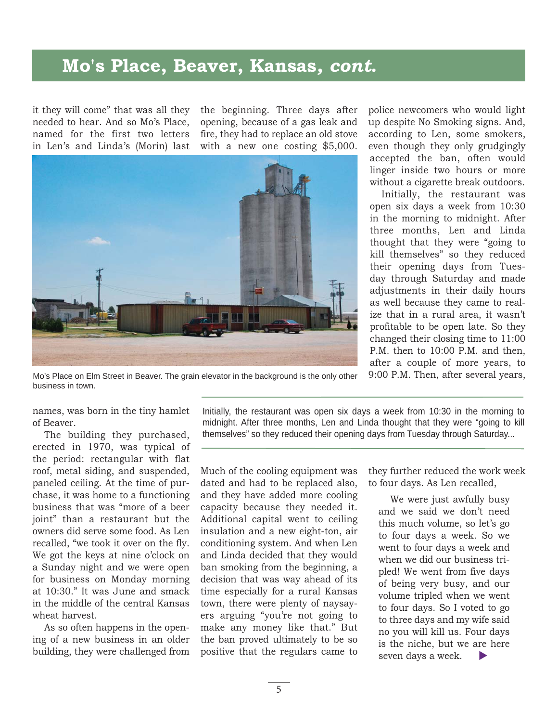### **Mo's Place, Beaver, Kansas***, cont.*

it they will come" that was all they needed to hear. And so Mo's Place, named for the first two letters in Len's and Linda's (Morin) last the beginning. Three days after opening, because of a gas leak and fire, they had to replace an old stove with a new one costing \$5,000.



up despite No Smoking signs. And, according to Len, some smokers, even though they only grudgingly accepted the ban, often would linger inside two hours or more without a cigarette break outdoors.

police newcomers who would light

Initially, the restaurant was open six days a week from 10:30 in the morning to midnight. After three months, Len and Linda thought that they were "going to kill themselves" so they reduced their opening days from Tuesday through Saturday and made adjustments in their daily hours as well because they came to realize that in a rural area, it wasn't profitable to be open late. So they changed their closing time to 11:00 P.M. then to 10:00 P.M. and then, after a couple of more years, to 9:00 P.M. Then, after several years,

Mo's Place on Elm Street in Beaver. The grain elevator in the background is the only other business in town.

names, was born in the tiny hamlet of Beaver.

The building they purchased, erected in 1970, was typical of the period: rectangular with flat roof, metal siding, and suspended, paneled ceiling. At the time of purchase, it was home to a functioning business that was "more of a beer joint" than a restaurant but the owners did serve some food. As Len recalled, "we took it over on the fly. We got the keys at nine o'clock on a Sunday night and we were open for business on Monday morning at 10:30." It was June and smack in the middle of the central Kansas wheat harvest.

As so often happens in the opening of a new business in an older building, they were challenged from Initially, the restaurant was open six days a week from 10:30 in the morning to midnight. After three months, Len and Linda thought that they were "going to kill themselves" so they reduced their opening days from Tuesday through Saturday...

Much of the cooling equipment was dated and had to be replaced also, and they have added more cooling capacity because they needed it. Additional capital went to ceiling insulation and a new eight-ton, air conditioning system. And when Len and Linda decided that they would ban smoking from the beginning, a decision that was way ahead of its time especially for a rural Kansas town, there were plenty of naysayers arguing "you're not going to make any money like that." But the ban proved ultimately to be so positive that the regulars came to

they further reduced the work week to four days. As Len recalled,

We were just awfully busy and we said we don't need this much volume, so let's go to four days a week. So we went to four days a week and when we did our business tripled! We went from five days of being very busy, and our volume tripled when we went to four days. So I voted to go to three days and my wife said no you will kill us. Four days is the niche, but we are here seven days a week. regulars came to seven days a week.  $\blacktriangleright$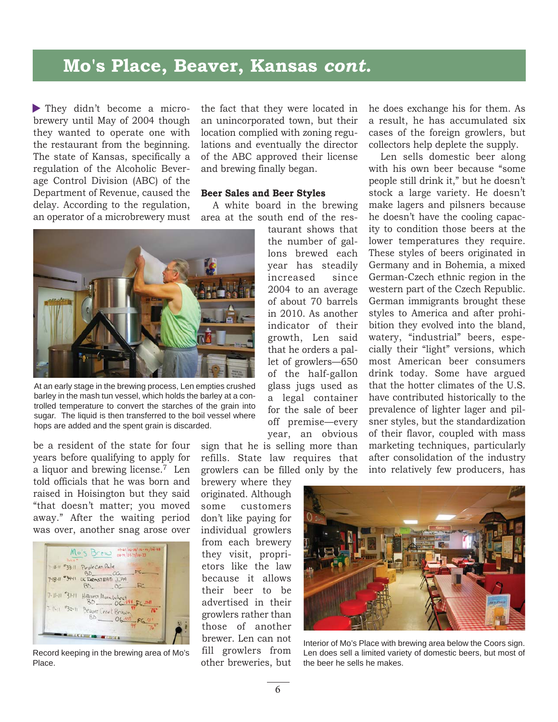### **Mo's Place, Beaver, Kansas** *cont.*

They didn't become a micro brewery until May of 2004 though they wanted to operate one with the restaurant from the beginning. The state of Kansas, specifically a regulation of the Alcoholic Beverage Control Division (ABC) of the Department of Revenue, caused the delay. According to the regulation, an operator of a microbrewery must

the fact that they were located in an unincorporated town, but their location complied with zoning regulations and eventually the director of the ABC approved their license and brewing finally began.

#### **Beer Sales and Beer Styles**

A white board in the brewing area at the south end of the res-

> taurant shows that the number of gallons brewed each year has steadily increased since 2004 to an average of about 70 barrels in 2010. As another indicator of their growth, Len said that he orders a pallet of growlers—650 of the half-gallon glass jugs used as a legal container for the sale of beer



At an early stage in the brewing process, Len empties crushed barley in the mash tun vessel, which holds the barley at a controlled temperature to convert the starches of the grain into sugar. The liquid is then transferred to the boil vessel where hops are added and the spent grain is discarded.

be a resident of the state for four years before qualifying to apply for a liquor and brewing license.7 Len told officials that he was born and raised in Hoisington but they said "that doesn't matter; you moved away." After the waiting period was over, another snag arose over



Record keeping in the brewing area of Mo's Place.

off premise—every year, an obvious sign that he is selling more than refills. State law requires that growlers can be filled only by the

brewery where they originated. Although some customers don't like paying for individual growlers from each brewery they visit, proprietors like the law because it allows their beer to be advertised in their growlers rather than those of another brewer. Len can not fill growlers from other breweries, but he does exchange his for them. As a result, he has accumulated six cases of the foreign growlers, but collectors help deplete the supply.

Len sells domestic beer along with his own beer because "some people still drink it," but he doesn't stock a large variety. He doesn't make lagers and pilsners because he doesn't have the cooling capacity to condition those beers at the lower temperatures they require. These styles of beers originated in Germany and in Bohemia, a mixed German-Czech ethnic region in the western part of the Czech Republic. German immigrants brought these styles to America and after prohibition they evolved into the bland, watery, "industrial" beers, especially their "light" versions, which most American beer consumers drink today. Some have argued that the hotter climates of the U.S. have contributed historically to the prevalence of lighter lager and pilsner styles, but the standardization of their flavor, coupled with mass marketing techniques, particularly after consolidation of the industry into relatively few producers, has



Interior of Mo's Place with brewing area below the Coors sign. Len does sell a limited variety of domestic beers, but most of the beer he sells he makes.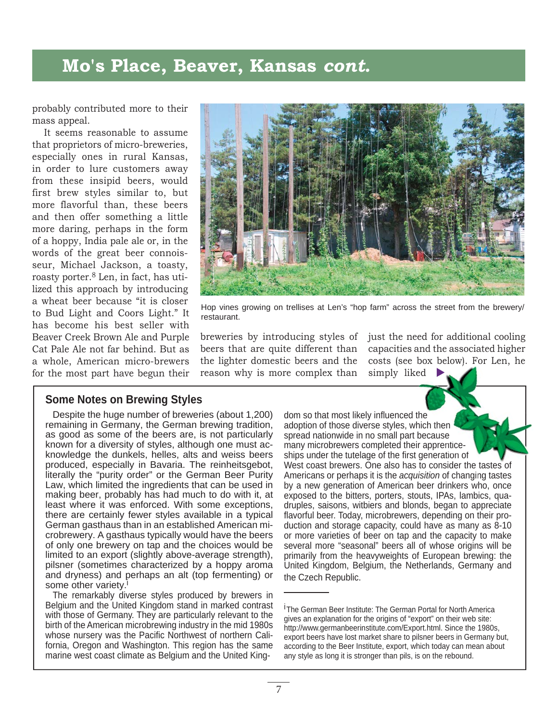#### **Mo's Place, Beaver, Kansas** *cont.*

probably contributed more to their mass appeal.

It seems reasonable to assume that proprietors of micro-breweries, especially ones in rural Kansas, in order to lure customers away from these insipid beers, would first brew styles similar to, but more flavorful than, these beers and then offer something a little more daring, perhaps in the form of a hoppy, India pale ale or, in the words of the great beer connoisseur, Michael Jackson, a toasty, roasty porter.8 Len, in fact, has utilized this approach by introducing a wheat beer because "it is closer to Bud Light and Coors Light." It has become his best seller with Beaver Creek Brown Ale and Purple Cat Pale Ale not far behind. But as a whole, American micro-brewers for the most part have begun their



Hop vines growing on trellises at Len's "hop farm" across the street from the brewery/ restaurant.

breweries by introducing styles of beers that are quite different than the lighter domestic beers and the reason why is more complex than just the need for additional cooling capacities and the associated higher costs (see box below). For Len, he simply liked  $\blacktriangleright$ 

#### **Some Notes on Brewing Styles**

Despite the huge number of breweries (about 1,200) remaining in Germany, the German brewing tradition, as good as some of the beers are, is not particularly known for a diversity of styles, although one must acknowledge the dunkels, helles, alts and weiss beers produced, especially in Bavaria. The reinheitsgebot, literally the "purity order" or the German Beer Purity Law, which limited the ingredients that can be used in making beer, probably has had much to do with it, at least where it was enforced. With some exceptions, there are certainly fewer styles available in a typical German gasthaus than in an established American microbrewery. A gasthaus typically would have the beers of only one brewery on tap and the choices would be limited to an export (slightly above-average strength), pilsner (sometimes characterized by a hoppy aroma and dryness) and perhaps an alt (top fermenting) or some other variety.<sup>i</sup>

The remarkably diverse styles produced by brewers in Belgium and the United Kingdom stand in marked contrast with those of Germany. They are particularly relevant to the birth of the American microbrewing industry in the mid 1980s whose nursery was the Pacific Northwest of northern California, Oregon and Washington. This region has the same marine west coast climate as Belgium and the United Kingdom so that most likely influenced the adoption of those diverse styles, which then spread nationwide in no small part because many microbrewers completed their apprenticeships under the tutelage of the first generation of ships under the tutelage of the first generation of<br>West coast brewers. One also has to consider the tastes of Americans or perhaps it is the *acquisition* of changing tastes hanging t by a new generation of American beer drinkers who, once exposed to the bitters, porters, stouts, IPAs, lambics, quadruples, saisons, witbiers and blonds, began to appreciate flavorful beer. Today, microbrewers, depending on their production and storage capacity, could have as many as 8-10 or more varieties of beer on tap and the capacity to make several more "seasonal" beers all of whose origins will be primarily from the heavyweights of European brewing: the United Kingdom, Belgium, the Netherlands, Germany and the Czech Republic.

<sup>&</sup>lt;sup>i</sup> The German Beer Institute: The German Portal for North America gives an explanation for the origins of "export" on their web site: http://www.germanbeerinstitute.com/Export.html. Since the 1980s, export beers have lost market share to pilsner beers in Germany but, according to the Beer Institute, export, which today can mean about any style as long it is stronger than pils, is on the rebound.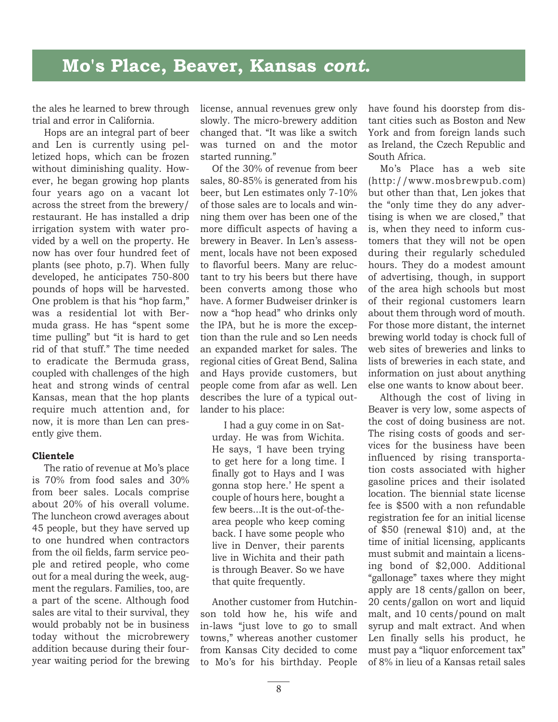the ales he learned to brew through trial and error in California.

Hops are an integral part of beer and Len is currently using pelletized hops, which can be frozen without diminishing quality. However, he began growing hop plants four years ago on a vacant lot across the street from the brewery/ restaurant. He has installed a drip irrigation system with water provided by a well on the property. He now has over four hundred feet of plants (see photo, p.7). When fully developed, he anticipates 750-800 pounds of hops will be harvested. One problem is that his "hop farm," was a residential lot with Bermuda grass. He has "spent some time pulling" but "it is hard to get rid of that stuff." The time needed to eradicate the Bermuda grass, coupled with challenges of the high heat and strong winds of central Kansas, mean that the hop plants require much attention and, for now, it is more than Len can presently give them.

#### **Clientele**

The ratio of revenue at Mo's place is 70% from food sales and 30% from beer sales. Locals comprise about 20% of his overall volume. The luncheon crowd averages about 45 people, but they have served up to one hundred when contractors from the oil fields, farm service people and retired people, who come out for a meal during the week, augment the regulars. Families, too, are a part of the scene. Although food sales are vital to their survival, they would probably not be in business today without the microbrewery addition because during their fouryear waiting period for the brewing

license, annual revenues grew only slowly. The micro-brewery addition changed that. "It was like a switch was turned on and the motor started running."

Of the 30% of revenue from beer sales, 80-85% is generated from his beer, but Len estimates only 7-10% of those sales are to locals and winning them over has been one of the more difficult aspects of having a brewery in Beaver. In Len's assessment, locals have not been exposed to flavorful beers. Many are reluctant to try his beers but there have been converts among those who have. A former Budweiser drinker is now a "hop head" who drinks only the IPA, but he is more the exception than the rule and so Len needs an expanded market for sales. The regional cities of Great Bend, Salina and Hays provide customers, but people come from afar as well. Len describes the lure of a typical outlander to his place:

I had a guy come in on Saturday. He was from Wichita. He says, 'I have been trying to get here for a long time. I finally got to Hays and I was gonna stop here.' He spent a couple of hours here, bought a few beers...It is the out-of-thearea people who keep coming back. I have some people who live in Denver, their parents live in Wichita and their path is through Beaver. So we have that quite frequently.

Another customer from Hutchinson told how he, his wife and in-laws "just love to go to small towns," whereas another customer from Kansas City decided to come to Mo's for his birthday. People have found his doorstep from distant cities such as Boston and New York and from foreign lands such as Ireland, the Czech Republic and South Africa.

Mo's Place has a web site (http://www.mosbrewpub.com) but other than that, Len jokes that the "only time they do any advertising is when we are closed," that is, when they need to inform customers that they will not be open during their regularly scheduled hours. They do a modest amount of advertising, though, in support of the area high schools but most of their regional customers learn about them through word of mouth. For those more distant, the internet brewing world today is chock full of web sites of breweries and links to lists of breweries in each state, and information on just about anything else one wants to know about beer.

Although the cost of living in Beaver is very low, some aspects of the cost of doing business are not. The rising costs of goods and services for the business have been influenced by rising transportation costs associated with higher gasoline prices and their isolated location. The biennial state license fee is \$500 with a non refundable registration fee for an initial license of \$50 (renewal \$10) and, at the time of initial licensing, applicants must submit and maintain a licensing bond of \$2,000. Additional "gallonage" taxes where they might apply are 18 cents/gallon on beer, 20 cents/gallon on wort and liquid malt, and 10 cents/pound on malt syrup and malt extract. And when Len finally sells his product, he must pay a "liquor enforcement tax" of 8% in lieu of a Kansas retail sales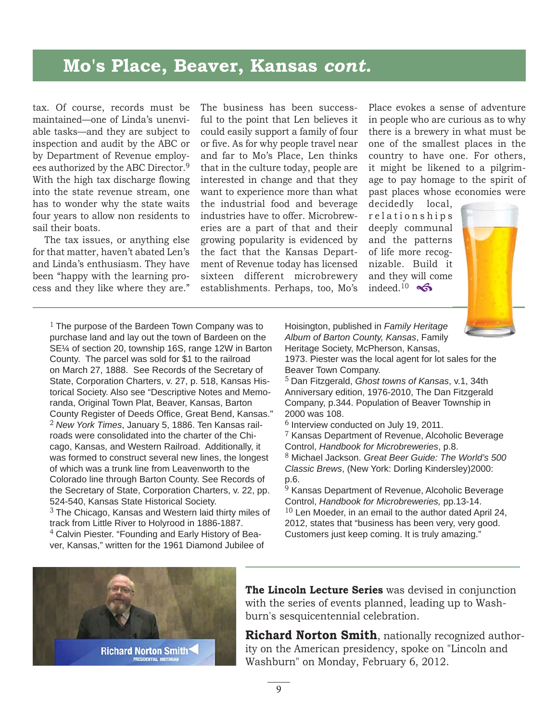### **Mo's Place, Beaver, Kansas** *cont.*

tax. Of course, records must be maintained—one of Linda's unenviable tasks—and they are subject to inspection and audit by the ABC or by Department of Revenue employees authorized by the ABC Director.9 With the high tax discharge flowing into the state revenue stream, one has to wonder why the state waits four years to allow non residents to sail their boats.

The tax issues, or anything else for that matter, haven't abated Len's and Linda's enthusiasm. They have been "happy with the learning process and they like where they are."

The business has been successful to the point that Len believes it could easily support a family of four or five. As for why people travel near and far to Mo's Place, Len thinks that in the culture today, people are interested in change and that they want to experience more than what the industrial food and beverage industries have to offer. Microbreweries are a part of that and their growing popularity is evidenced by the fact that the Kansas Department of Revenue today has licensed sixteen different microbrewery establishments. Perhaps, too, Mo's

Place evokes a sense of adventure in people who are curious as to why there is a brewery in what must be one of the smallest places in the country to have one. For others, it might be likened to a pilgrimage to pay homage to the spirit of past places whose economies were

decidedly local, r e l a t i o n s h i p s deeply communal and the patterns of life more recognizable. Build it and they will come indeed.<sup>10</sup>  $\clubsuit$ 



 $1$  The purpose of the Bardeen Town Company was to purchase land and lay out the town of Bardeen on the SE¼ of section 20, township 16S, range 12W in Barton County. The parcel was sold for \$1 to the railroad on March 27, 1888. See Records of the Secretary of State, Corporation Charters, v. 27, p. 518, Kansas Historical Society. Also see "Descriptive Notes and Memoranda, Original Town Plat, Beaver, Kansas, Barton County Register of Deeds Office, Great Bend, Kansas." 2 *New York Times*, January 5, 1886. Ten Kansas railroads were consolidated into the charter of the Chicago, Kansas, and Western Railroad. Additionally, it was formed to construct several new lines, the longest of which was a trunk line from Leavenworth to the Colorado line through Barton County. See Records of the Secretary of State, Corporation Charters, v. 22, pp. 524-540, Kansas State Historical Society.  $3$  The Chicago, Kansas and Western laid thirty miles of track from Little River to Holyrood in 1886-1887. 4 Calvin Piester. "Founding and Early History of Bea-

ver, Kansas," written for the 1961 Diamond Jubilee of

Hoisington, published in *Family Heritage Album of Barton County, Kansas*, Family Heritage Society, McPherson, Kansas,

1973. Piester was the local agent for lot sales for the Beaver Town Company.

<sup>5</sup>Dan Fitzgerald, *Ghost towns of Kansas*, v.1, 34th Anniversary edition, 1976-2010, The Dan Fitzgerald Company, p.344. Population of Beaver Township in 2000 was 108.

<sup>6</sup> Interview conducted on July 19, 2011.

<sup>7</sup> Kansas Department of Revenue, Alcoholic Beverage Control, *Handbook for Microbreweries*, p.8.

<sup>8</sup> Michael Jackson. *Great Beer Guide: The World's 500 Classic Brews*, (New York: Dorling Kindersley)2000: p.6.

<sup>9</sup> Kansas Department of Revenue, Alcoholic Beverage Control, *Handbook for Microbreweries,* pp.13-14.  $10$  Len Moeder, in an email to the author dated April 24, 2012, states that "business has been very, very good. Customers just keep coming. It is truly amazing."



**The Lincoln Lecture Series** was devised in conjunction with the series of events planned, leading up to Washburn's sesquicentennial celebration.

**Richard Norton Smith**, nationally recognized authority on the American presidency, spoke on "Lincoln and Washburn" on Monday, February 6, 2012.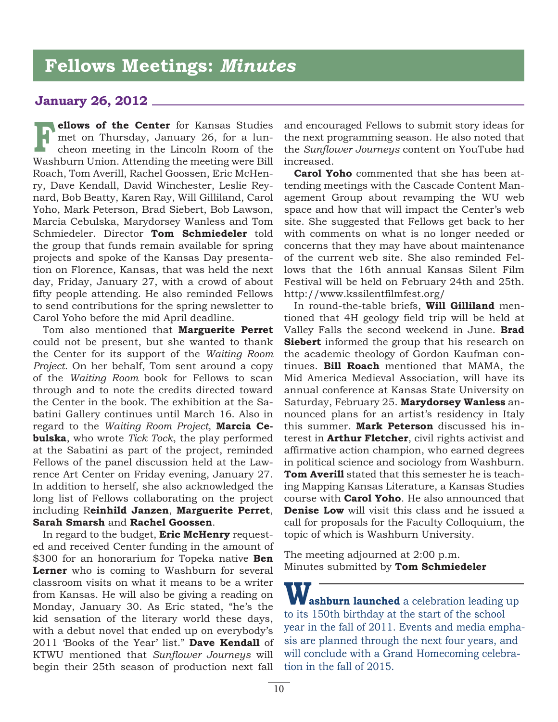### **Fellows Meetings:** *Minutes*

#### **January 26, 2012**

**ellows of the Center** for Kansas Studies met on Thursday, January 26, for a luncheon meeting in the Lincoln Room of the Washburn Union. Attending the meeting were Bill Roach, Tom Averill, Rachel Goossen, Eric McHenry, Dave Kendall, David Winchester, Leslie Reynard, Bob Beatty, Karen Ray, Will Gilliland, Carol Yoho, Mark Peterson, Brad Siebert, Bob Lawson, Marcia Cebulska, Marydorsey Wanless and Tom Schmiedeler. Director **Tom Schmiedeler** told the group that funds remain available for spring projects and spoke of the Kansas Day presentation on Florence, Kansas, that was held the next day, Friday, January 27, with a crowd of about fifty people attending. He also reminded Fellows to send contributions for the spring newsletter to Carol Yoho before the mid April deadline. **F**

Tom also mentioned that **Marguerite Perret** could not be present, but she wanted to thank the Center for its support of the *Waiting Room Project.* On her behalf, Tom sent around a copy of the *Waiting Room* book for Fellows to scan through and to note the credits directed toward the Center in the book. The exhibition at the Sabatini Gallery continues until March 16. Also in regard to the *Waiting Room Project,* **Marcia Cebulska**, who wrote *Tick Tock*, the play performed at the Sabatini as part of the project, reminded Fellows of the panel discussion held at the Lawrence Art Center on Friday evening, January 27. In addition to herself, she also acknowledged the long list of Fellows collaborating on the project including R**einhild Janzen**, **Marguerite Perret**, **Sarah Smarsh** and **Rachel Goossen**.

In regard to the budget, **Eric McHenry** requested and received Center funding in the amount of \$300 for an honorarium for Topeka native **Ben Lerner** who is coming to Washburn for several classroom visits on what it means to be a writer from Kansas. He will also be giving a reading on Monday, January 30. As Eric stated, "he's the kid sensation of the literary world these days, with a debut novel that ended up on everybody's 2011 'Books of the Year' list." **Dave Kendall** of KTWU mentioned that *Sunflower Journeys* will begin their 25th season of production next fall

and encouraged Fellows to submit story ideas for the next programming season. He also noted that the *Sunflower Journeys* content on YouTube had increased.

**Carol Yoho** commented that she has been attending meetings with the Cascade Content Management Group about revamping the WU web space and how that will impact the Center's web site. She suggested that Fellows get back to her with comments on what is no longer needed or concerns that they may have about maintenance of the current web site. She also reminded Fellows that the 16th annual Kansas Silent Film Festival will be held on February 24th and 25th. http://www.kssilentfilmfest.org/

In round-the-table briefs, **Will Gilliland** mentioned that 4H geology field trip will be held at Valley Falls the second weekend in June. **Brad Siebert** informed the group that his research on the academic theology of Gordon Kaufman continues. **Bill Roach** mentioned that MAMA, the Mid America Medieval Association, will have its annual conference at Kansas State University on Saturday, February 25. **Marydorsey Wanless** announced plans for an artist's residency in Italy this summer. **Mark Peterson** discussed his interest in **Arthur Fletcher**, civil rights activist and affirmative action champion, who earned degrees in political science and sociology from Washburn. **Tom Averill** stated that this semester he is teaching Mapping Kansas Literature, a Kansas Studies course with **Carol Yoho**. He also announced that **Denise Low** will visit this class and he issued a call for proposals for the Faculty Colloquium, the topic of which is Washburn University.

The meeting adjourned at 2:00 p.m. Minutes submitted by **Tom Schmiedeler**

**Washburn launched** a celebration leading up to its 150th birthday at the start of the school year in the fall of 2011. Events and media emphasis are planned through the next four years, and will conclude with a Grand Homecoming celebration in the fall of 2015.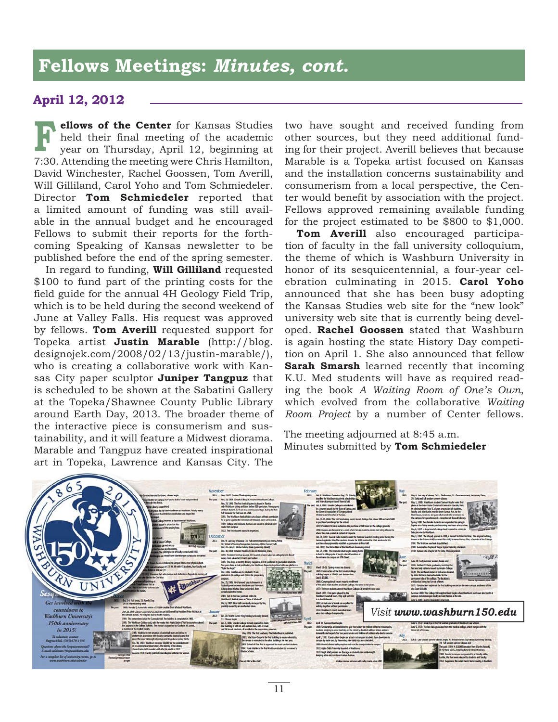### **Fellows Meetings:** *Minutes, cont.*

#### **April 12, 2012**

**ellows of the Center** for Kansas Studies held their final meeting of the academic year on Thursday, April 12, beginning at 7:30. Attending the meeting were Chris Hamilton, David Winchester, Rachel Goossen, Tom Averill, Will Gilliland, Carol Yoho and Tom Schmiedeler. Director **Tom Schmiedeler** reported that a limited amount of funding was still available in the annual budget and he encouraged Fellows to submit their reports for the forthcoming Speaking of Kansas newsletter to be published before the end of the spring semester. **F**

In regard to funding, **Will Gilliland** requested \$100 to fund part of the printing costs for the field guide for the annual 4H Geology Field Trip, which is to be held during the second weekend of June at Valley Falls. His request was approved by fellows. **Tom Averill** requested support for Topeka artist **Justin Marable** (http://blog. designojek.com/2008/02/13/justin-marable/), who is creating a collaborative work with Kansas City paper sculptor **Juniper Tangpuz** that is scheduled to be shown at the Sabatini Gallery at the Topeka/Shawnee County Public Library around Earth Day, 2013. The broader theme of the interactive piece is consumerism and sustainability, and it will feature a Midwest diorama. Marable and Tangpuz have created inspirational art in Topeka, Lawrence and Kansas City. The

two have sought and received funding from other sources, but they need additional funding for their project. Averill believes that because Marable is a Topeka artist focused on Kansas and the installation concerns sustainability and consumerism from a local perspective, the Center would benefit by association with the project. Fellows approved remaining available funding for the project estimated to be \$800 to \$1,000.

**Tom Averill** also encouraged participation of faculty in the fall university colloquium, the theme of which is Washburn University in honor of its sesquicentennial, a four-year celebration culminating in 2015. **Carol Yoho** announced that she has been busy adopting the Kansas Studies web site for the "new look" university web site that is currently being developed. **Rachel Goossen** stated that Washburn is again hosting the state History Day competition on April 1. She also announced that fellow **Sarah Smarsh** learned recently that incoming K.U. Med students will have as required reading the book *A Waiting Room of One's Own*, which evolved from the collaborative *Waiting Room Project* by a number of Center fellows.

The meeting adjourned at 8:45 a.m. Minutes submitted by **Tom Schmiedeler**